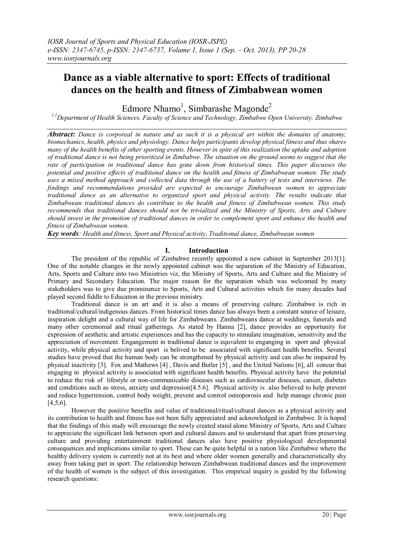# **Dance as a viable alternative to sport: Effects of traditional dances on the health and fitness of Zimbabwean women**

Edmore Nhamo<sup>1</sup>, Simbarashe Magonde<sup>2</sup>

*1,2Department of Health Sciences, Faculty of Science and Technology, Zimbabwe Open University, Zimbabwe*

*Abstract: Dance is corporeal in nature and as such it is a physical art within the domains of anatomy, biomechanics, health, physics and physiology. Dance helps participants develop physical fitness and thus shares many of the health benefits of other sporting events. However in spite of this realization the uptake and adoption of traditional dance is not being prioritized in Zimbabwe. The situation on the ground seems to suggest that the rate of participation in traditional dance has gone down from historical times. This paper discusses the potential and positive effects of traditional dance on the health and fitness of Zimbabwean women. The study uses a mixed method approach and collected data through the use of a battery of tests and interviews. The findings and recommendations provided are expected to encourage Zimbabwean women to appreciate traditional dance as an alternative to organized sport and physical activity. The results indicate that Zimbabwean traditional dances do contribute to the health and fitness of Zimbabwean women. This study recommends that traditional dances should not be trivialized and the Ministry of Sports, Arts and Culture should invest in the promotion of traditional dances in order to complement sport and enhance the health and fitness of Zimbabwean women.*

*Key words: Health and fitness, Sport and Physical activity, Traditional dance, Zimbabwean women*

# **I. Introduction**

The president of the republic of Zimbabwe recently appointed a new cabinet in September 2013[1]. One of the notable changes in the newly appointed cabinet was the separation of the Ministry of Education, Arts, Sports and Culture into two Ministries viz, the Ministry of Sports, Arts and Culture and the Ministry of Primary and Secondary Education. The major reason for the separation which was welcomed by many stakeholders was to give due prominence to Sports, Arts and Cultural activities which for many decades had played second fiddle to Education in the previous ministry.

Traditional dance is an art and it is also a means of preserving culture. Zimbabwe is rich in traditional/cultural/indigenous dances. From historical times dance has always been a constant source of leisure, inspiration delight and a cultural way of life for Zimbabweans. Zimbabweans dance at weddings, funerals and many other ceremonial and ritual gatherings. As stated by Hanna [2], dance provides an opportunity for expression of aesthetic and artistic experiences and has the capacity to stimulate imagination, sensitivity and the appreciation of movement. Engangement in traditional dance is equvalent to enganging in sport and physical activity, while physical activity and sport is belived to be associated with significant health benefits. Several studies have proved that the human body can be strengthened by physical activity and can also be impaired by physical inactivity [3]. Fox and Mathews [4] , Davis and Butler [5] , and the United Nations [6], all concur that engaging in physical activity is associated with significant health benefits. Physical activity have the potential to reduce the risk of lifestyle or non-communicable diseases such as cardiovascular diseases, cancer, diabetes and conditions such as stress, anxiety and depression[4.5.6]. Physical activity is also believed to help prevent and reduce hypertension, control body weight, prevent and control osteoporosis and help manage chronic pain [4,5,6].

However the positive benefits and value of traditional/ritual/cultural dances as a physical activity and its contribution to health and fitness has not been fully appreciated and acknowledged in Zimbabwe. It is hoped that the findings of this study will encourage the newly created stand alone Ministry of Sports, Arts and Culture to appreciate the significant link between sport and cultural dances and to understand that apart from preserving culture and providing entertainment traditional dances also have positive physiological developmental consequences and implications similar to sport. These can be quite helpful in a nation like Zimbabwe where the healthy delivery system is currently not at its best and where older women generally and characteristically shy away from taking part in sport. The relationship between Zimbabwean traditional dances and the improvement of the health of women is the subject of this investigation. This empirical inquiry is guided by the following research questions: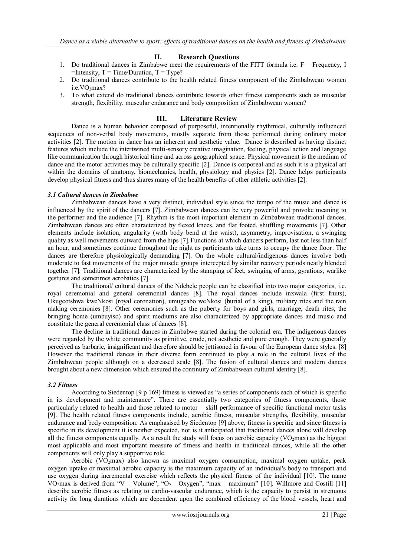# **II. Research Questions**

- 1. Do traditional dances in Zimbabwe meet the requirements of the FITT formula i.e.  $F = F$ requency, I  $=$ Intensity,  $T = Time/Duration$ ,  $T = Type$ ?
- 2. Do traditional dances contribute to the health related fitness component of the Zimbabwean women  $i.e. VO<sub>2</sub>max?$
- 3. To what extend do traditional dances contribute towards other fitness components such as muscular strength, flexibility, muscular endurance and body composition of Zimbabwean women?

## **III. Literature Review**

Dance is a human behavior composed of purposeful, intentionally rhythmical, culturally influenced sequences of non-verbal body movements, mostly separate from those performed during ordinary motor activities [2]. The motion in dance has an inherent and aesthetic value. Dance is described as having distinct features which include the intertwined multi-sensory creative imagination, feeling, physical action and language like communication through historical time and across geographical space. Physical movement is the medium of dance and the motor activities may be culturally specific [2]. Dance is corporeal and as such it is a physical art within the domains of anatomy, biomechanics, health, physiology and physics [2]. Dance helps participants develop physical fitness and thus shares many of the health benefits of other athletic activities [2].

## *3.1 Cultural dances in Zimbabwe*

Zimbabwean dances have a very distinct, individual style since the tempo of the music and dance is influenced by the spirit of the dancers [7]. Zimbabwean dances can be very powerful and provoke meaning to the performer and the audience [7]. Rhythm is the most important element in Zimbabwean traditional dances. Zimbabwean dances are often characterized by flexed knees, and flat footed, shuffling movements [7]. Other elements include isolation, angularity (with body bend at the waist), asymmetry, improvisation, a swinging quality as well movements outward from the hips [7]. Functions at which dancers perform, last not less than half an hour, and sometimes continue throughout the night as participants take turns to occupy the dance floor. The dances are therefore physiologically demanding [7]. On the whole cultural/indigenous dances involve both moderate to fast movements of the major muscle groups intercepted by similar recovery periods neatly blended together [7]. Traditional dances are characterized by the stamping of feet, swinging of arms, gyrations, warlike gestures and sometimes acrobatics [7].

The traditional/ cultural dances of the Ndebele people can be classified into two major categories, i.e. royal ceremonial and general ceremonial dances [8]. The royal dances include inxwala (first fruits), Ukugcotshwa kweNkosi (royal coronation), umugcabo weNkosi (burial of a king), military rites and the rain making ceremonies [8]. Other ceremonies such as the puberty for boys and girls, marriage, death rites, the bringing home (umbuyiso) and spirit mediums are also characterized by appropriate dances and music and constitute the general ceremonial class of dances [8].

The decline in traditional dances in Zimbabwe started during the colonial era. The indigenous dances were regarded by the white community as primitive, crude, not aesthetic and pure enough. They were generally perceived as barbaric, insignificant and therefore should be jettisoned in favour of the European dance styles. [8] However the traditional dances in their diverse form continued to play a role in the cultural lives of the Zimbabwean people although on a decreased scale [8]. The fusion of cultural dances and modern dances brought about a new dimension which ensured the continuity of Zimbabwean cultural identity [8].

#### *3.2 Fitness*

According to Siedentop [9 p 169) fitness is viewed as "a series of components each of which is specific in its development and maintenance". There are essentially two categories of fitness components, those particularly related to health and those related to motor – skill performance of specific functional motor tasks [9]. The health related fitness components include, aerobic fitness, muscular strengths, flexibility, muscular endurance and body composition. As emphasised by Siedentop [9] above, fitness is specific and since fitness is specific in its development it is neither expected, nor is it anticipated that traditional dances alone will develop all the fitness components equally. As a result the study will focus on aerobic capacity ( $VO<sub>2</sub>max$ ) as the biggest most applicable and most important measure of fitness and health in traditional dances, while all the other components will only play a supportive role.

Aerobic (VO2max) also known as maximal oxygen consumption, maximal oxygen uptake, peak oxygen uptake or maximal aerobic capacity is the maximum capacity of an individual's body to transport and use oxygen during incremental exercise which reflects the physical fitness of the individual [10]. The name VO<sub>2</sub>max is derived from "V – Volume", "O<sub>2</sub> – Oxygen", "max – maximum" [10]. Willmore and Costill [11] describe aerobic fitness as relating to cardio-vascular endurance, which is the capacity to persist in strenuous activity for long durations which are dependent upon the combined efficiency of the blood vessels, heart and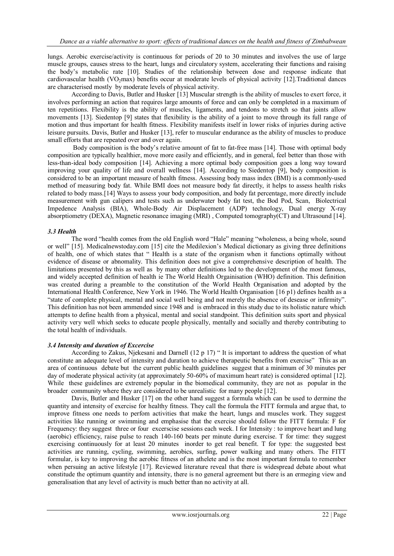lungs. Aerobic exercise/activity is continuous for periods of 20 to 30 minutes and involves the use of large muscle groups, causes stress to the heart, lungs and circulatory system, accelerating their functions and raising the body's metabolic rate [10]. Studies of the relationship between dose and response indicate that cardiovascular health (VO<sub>2</sub>max) benefits occur at moderate levels of physical activity  $[12]$ . Traditional dances are characterised mostly by moderate levels of physical activity.

According to Davis, Butler and Husker [13] Muscular strength is the ability of muscles to exert force, it involves performing an action that requires large amounts of force and can only be completed in a maximum of ten repetitions. Flexibility is the ability of muscles, ligaments, and tendons to stretch so that joints allow movements [13]. Siedentop [9] states that flexibility is the ability of a joint to move through its full range of motion and thus important for health fitness. Flexibility manifests itself in lower risks of injuries during active leisure pursuits. Davis, Butler and Husker [13], refer to muscular endurance as the ability of muscles to produce small efforts that are repeated over and over again.

Body composition is the body's relative amount of fat to fat-free mass [14]. Those with optimal body composition are typically healthier, move more easily and efficiently, and in general, feel better than those with less-than-ideal body composition [14]. Achieving a more optimal body composition goes a long way toward improving your quality of life and overall wellness [14]. According to Siedentop [9], body composition is considered to be an important measure of health fitness. Assessing body mass index (BMI) is a commonly-used method of measuring body fat. While BMI does not measure body fat directly, it helps to assess health risks related to body mass.[14] Ways to assess your body composition, and body fat percentage, more directly include measurement with gun calipers and tests such as underwater body fat test, the Bod Pod, Scan, Biolectrical Impedence Analysis (BIA), Whole-Body Air Displacement (ADP) technology, Dual energy X-ray absorptiometry (DEXA), Magnetic resonance imaging (MRI) , Computed tomography(CT) and Ultrasound [14].

## *3.3 Health*

The word "health comes from the old English word "Hale" meaning "wholeness, a being whole, sound or well" [15]. Medicalnewstoday.com [15] cite the Medilexion's Medical dictionary as giving three definitions of health, one of which states that " Health is a state of the organism when it functions optimally without evidence of disease or abnomality. This definition does not give a comprehensive description of health. The limitations presented by this as well as by many other definitions led to the development of the most famous, and widely accepted definition of health ie The World Health Orgainisation (WHO) definition. This definition was created during a preamble to the constitution of the World Health Organisation and adopted by the International Health Conference, New York in 1946. The World Health Organisation [16 p1) defines health as a "state of complete physical, mental and social well being and not merely the absence of desease or infirmity". This definition has not been ammended since 1948 and is embraced in this study due to its holistic nature which attempts to define health from a physical, mental and social standpoint. This definition suits sport and physical activity very well which seeks to educate people physically, mentally and socially and thereby contributing to the total health of individuals.

#### *3.4 Intensity and duration of Excercise*

According to Zakus, Njekesani and Darnell (12 p 17) " It is important to address the question of what constitute an adequate level of intensity and duration to achieve therapeutic benefits from exercise" This as an area of continuous debate but the current public health guidelines suggest that a minimum of 30 minutes per day of moderate physical activity (at approximately 50-60% of maximum heart rate) is considered optimal [12]. While these guidelines are extremely popular in the biomedical community, they are not as popular in the broader community where they are considered to be unrealistic for many people [12].

Davis, Butler and Husker [17] on the other hand suggest a formula which can be used to dermine the quantity and intensity of exercise for healthy fitness. They call the formula the FITT formula and argue that, to improve fitness one needs to perfom activities that make the heart, lungs and muscles work. They suggest activities like running or swimming and emphasise that the exercise should follow the FITT formula: F for Frequency: they suggest three or four excerscise sessions each week. I for Intensity : to improve heart and lung (aerobic) efficiency, raise pulse to reach 140-160 beats per minute during exercise. T for time: they suggest exercising continuously for at least 20 minutes inorder to get real benefit. T for type: the suggested best activities are running, cycling, swimming, aerobics, surfing, power walking and many others. The FITT formular, is key to improving the aerobic fitness of an athelete and is the most important formula to remember when persuing an active lifestyle [17]. Reviewed literature reveal that there is widespread debate about what constitude the optimum quantity and intensity, there is no general agreement but there is an ermeging view and generalisation that any level of activity is much better than no activity at all.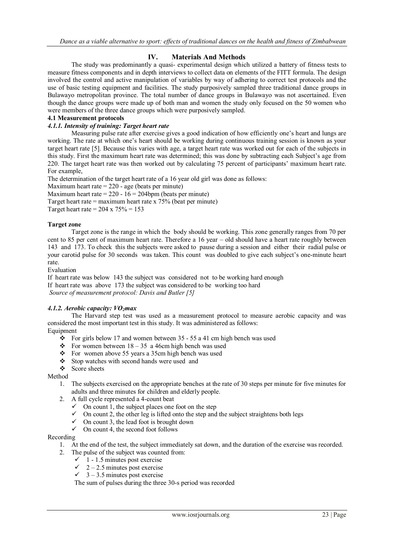# **IV. Materials And Methods**

The study was predominantly a quasi- experimental design which utilized a battery of fitness tests to measure fitness components and in depth interviews to collect data on elements of the FITT formula. The design involved the control and active manipulation of variables by way of adhering to correct test protocols and the use of basic testing equipment and facilities. The study purposively sampled three traditional dance groups in Bulawayo metropolitan province. The total number of dance groups in Bulawayo was not ascertained. Even though the dance groups were made up of both man and women the study only focused on the 50 women who were members of the three dance groups which were purposively sampled.

## **4.1 Measurement protocols**

# *4.1.1. Intensity of training: Target heart rate*

Measuring pulse rate after exercise gives a good indication of how efficiently one's heart and lungs are working. The rate at which one's heart should be working during continuous training session is known as your target heart rate [5]. Because this varies with age, a target heart rate was worked out for each of the subjects in this study. First the maximum heart rate was determined; this was done by subtracting each Subject's age from 220. The target heart rate was then worked out by calculating 75 percent of participants' maximum heart rate. For example,

The determination of the target heart rate of a 16 year old girl was done as follows:

Maximum heart rate  $= 220$  - age (beats per minute)

Maximum heart rate =  $220 - 16 = 204$ bpm (beats per minute)

Target heart rate  $=$  maximum heart rate x 75% (beat per minute)

Target heart rate =  $204 \times 75\% = 153$ 

## **Target zone**

Target zone is the range in which the body should be working. This zone generally ranges from 70 per cent to 85 per cent of maximum heart rate. Therefore a 16 year – old should have a heart rate roughly between 143 and 173. To check this the subjects were asked to pause during a session and either their radial pulse or your carotid pulse for 30 seconds was taken. This count was doubled to give each subject's one-minute heart rate.

Evaluation

If heart rate was below 143 the subject was considered not to be working hard enough If heart rate was above 173 the subject was considered to be working too hard *Source of measurement protocol: Davis and Butler [5]*

#### *4.1.2. Aerobic capacity: VO2max*

The Harvard step test was used as a measurement protocol to measure aerobic capacity and was considered the most important test in this study. It was administered as follows:

Equipment

- For girls below 17 and women between  $35 55$  a 41 cm high bench was used
- For women between  $18 35$  a 46cm high bench was used
- For women above 55 years a 35cm high bench was used
- Stop watches with second hands were used and
- Score sheets

Method

- 1. The subjects exercised on the appropriate benches at the rate of 30 steps per minute for five minutes for adults and three minutes for children and elderly people.
- 2. A full cycle represented a 4-count beat
	- $\checkmark$  On count 1, the subject places one foot on the step
	- $\checkmark$  On count 2, the other leg is lifted onto the step and the subject straightens both legs
	- $\checkmark$  On count 3, the lead foot is brought down
	- $\checkmark$  On count 4, the second foot follows

#### Recording

- 1. At the end of the test, the subject immediately sat down, and the duration of the exercise was recorded.
- 2. The pulse of the subject was counted from:
	- $\checkmark$  1 1.5 minutes post exercise
	- $\checkmark$  2 2.5 minutes post exercise
	- $\checkmark$  3 3.5 minutes post exercise

The sum of pulses during the three 30-s period was recorded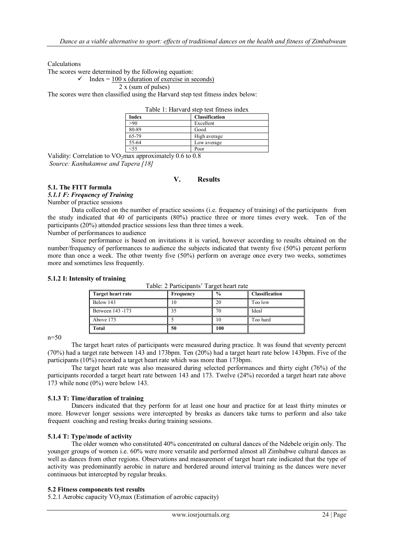Calculations

The scores were determined by the following equation:

# $\checkmark$  Index = 100 x (duration of exercise in seconds)

#### 2 x (sum of pulses)

The scores were then classified using the Harvard step test fitness index below:

| Table 1: Harvard step test fitness index |                       |  |  |  |  |  |
|------------------------------------------|-----------------------|--|--|--|--|--|
| <b>Index</b>                             | <b>Classification</b> |  |  |  |  |  |
| >90                                      | Excellent             |  |  |  |  |  |
| 80-89                                    | Good                  |  |  |  |  |  |
| 65-79                                    | High average          |  |  |  |  |  |
| 55-64                                    | Low average           |  |  |  |  |  |
| $<$ 55                                   | Poor                  |  |  |  |  |  |

Validity: Correlation to  $VO<sub>2</sub>$  max approximately 0.6 to 0.8 *Source: Kanhukamwe and Tapera [18]*

# **V. Results**

# **5.1. The FITT formula**

*5.1.1 F: Frequency of Training*

Number of practice sessions

Data collected on the number of practice sessions (i.e. frequency of training) of the participants from the study indicated that 40 of participants (80%) practice three or more times every week. Ten of the participants (20%) attended practice sessions less than three times a week.

Number of performances to audience

Since performance is based on invitations it is varied, however according to results obtained on the number/frequency of performances to audience the subjects indicated that twenty five (50%) percent perform more than once a week. The other twenty five (50%) perform on average once every two weeks, sometimes more and sometimes less frequently.

| Target heart rate | Frequency | $\frac{0}{0}$ | <b>Classification</b> |
|-------------------|-----------|---------------|-----------------------|
| Below 143         |           |               | Too low               |
| Between 143 -173  |           |               | Ideal                 |
| Above 173         |           | 10            | Too hard              |
| Total             | 50        | 100           |                       |

Table: 2 Participants' Target heart rate

#### **5.1.2 I: Intensity of training**

n=50

The target heart rates of participants were measured during practice. It was found that seventy percent (70%) had a target rate between 143 and 173bpm. Ten (20%) had a target heart rate below 143bpm. Five of the participants (10%) recorded a target heart rate which was more than 173bpm.

The target heart rate was also measured during selected performances and thirty eight (76%) of the participants recorded a target heart rate between 143 and 173. Twelve (24%) recorded a target heart rate above 173 while none (0%) were below 143.

#### **5.1.3 T: Time/duration of training**

Dancers indicated that they perform for at least one hour and practice for at least thirty minutes or more. However longer sessions were intercepted by breaks as dancers take turns to perform and also take frequent coaching and resting breaks during training sessions.

# **5.1.4 T: Type/mode of activity**

The older women who constituted 40% concentrated on cultural dances of the Ndebele origin only. The younger groups of women i.e. 60% were more versatile and performed almost all Zimbabwe cultural dances as well as dances from other regions. Observations and measurement of target heart rate indicated that the type of activity was predominantly aerobic in nature and bordered around interval training as the dances were never continuous but intercepted by regular breaks.

#### **5.2 Fitness components test results**

5.2.1 Aerobic capacity  $VO_2$ max (Estimation of aerobic capacity)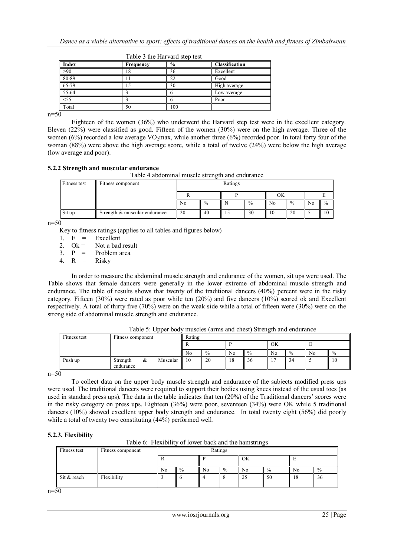|       |           | $1.00192$ $0.0192$ $1.001$ $0.0090$ $0.0000$ |                |
|-------|-----------|----------------------------------------------|----------------|
| Index | Frequency | $\frac{6}{9}$                                | Classification |
| >90   |           | 36                                           | Excellent      |
| 80-89 |           | 22                                           | Good           |
| 65-79 |           | 30                                           | High average   |
| 55-64 |           |                                              | Low average    |
| 55    |           |                                              | Poor           |
| Total |           | 100                                          |                |

Table 3 the Harvard step test

 $n=50$ 

Eighteen of the women (36%) who underwent the Harvard step test were in the excellent category. Eleven (22%) were classified as good. Fifteen of the women (30%) were on the high average. Three of the women (6%) recorded a low average VO<sub>2</sub>max, while another three (6%) recorded poor. In total forty four of the woman (88%) were above the high average score, while a total of twelve (24%) were below the high average (low average and poor).

# **5.2.2 Strength and muscular endurance**

Table 4 abdominal muscle strength and endurance

| Fitness test | Fitness component             |    | Ratings       |    |               |    |               |                |               |
|--------------|-------------------------------|----|---------------|----|---------------|----|---------------|----------------|---------------|
|              |                               |    |               |    |               | ОK |               |                |               |
|              |                               | No | $\frac{0}{0}$ |    | $\frac{0}{0}$ | No | $\frac{0}{0}$ | N <sub>0</sub> | $\frac{0}{0}$ |
| Sit up       | Strength & muscular endurance | 20 | 40            | 15 | 30            | 10 | 20            |                | 10            |

 $n=50$ 

Key to fitness ratings (applies to all tables and figures below)

1.  $E =$  Excellent<br>2.  $Ok =$  Not a bad

2. Ok = Not a bad result<br>3.  $P =$  Problem area

Problem area<br>Risky

4. R  $=$ 

In order to measure the abdominal muscle strength and endurance of the women, sit ups were used. The Table shows that female dancers were generally in the lower extreme of abdominal muscle strength and endurance. The table of results shows that twenty of the traditional dancers (40%) percent were in the risky category. Fifteen (30%) were rated as poor while ten (20%) and five dancers (10%) scored ok and Excellent respectively. A total of thirty five (70%) were on the weak side while a total of fifteen were (30%) were on the strong side of abdominal muscle strength and endurance.

|        | Fitness test | Fitness component     |   | Rating   |    |      |                |               |    |      |    |               |
|--------|--------------|-----------------------|---|----------|----|------|----------------|---------------|----|------|----|---------------|
|        |              |                       |   |          |    |      |                |               | OK |      |    |               |
|        |              |                       |   |          | No | $\%$ | N <sub>0</sub> | $\frac{0}{0}$ | No | $\%$ | No | $\frac{0}{0}$ |
|        | Push up      | Strength<br>endurance | & | Muscular | 10 | 20   | 18             | 36            | -  | 34   |    | 1 U           |
| $\sim$ |              |                       |   |          |    |      |                |               |    |      |    |               |

Table 5: Upper body muscles (arms and chest) Strength and endurance

n=50

To collect data on the upper body muscle strength and endurance of the subjects modified press ups were used. The traditional dancers were required to support their bodies using knees instead of the usual toes (as used in standard press ups). The data in the table indicates that ten (20%) of the Traditional dancers' scores were in the risky category on press ups. Eighteen (36%) were poor, seventeen (34%) were OK while 5 traditional dancers (10%) showed excellent upper body strength and endurance. In total twenty eight (56%) did poorly while a total of twenty two constituting (44%) performed well.

# **5.2.3. Flexibility**

| Fitness test | Fitness component | Ratings |               |                |      |                |               |    |               |
|--------------|-------------------|---------|---------------|----------------|------|----------------|---------------|----|---------------|
|              |                   |         |               |                |      | OK             |               |    |               |
|              |                   | No      | $\frac{0}{0}$ | N <sub>0</sub> | $\%$ | N <sub>0</sub> | $\frac{0}{0}$ | No | $\frac{0}{0}$ |
| Sit & reach  | Flexibility       |         |               |                |      | 25             | 50            | 18 | -56           |

 $n=50$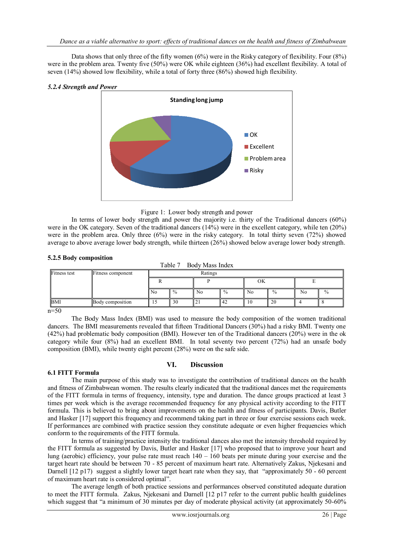Data shows that only three of the fifty women (6%) were in the Risky category of flexibility. Four (8%) were in the problem area. Twenty five (50%) were OK while eighteen (36%) had excellent flexibility. A total of seven (14%) showed low flexibility, while a total of forty three (86%) showed high flexibility.

#### *5.2.4 Strength and Power*



Figure 1: Lower body strength and power

In terms of lower body strength and power the majority i.e. thirty of the Traditional dancers (60%) were in the OK category. Seven of the traditional dancers (14%) were in the excellent category, while ten (20%) were in the problem area. Only three (6%) were in the risky category. In total thirty seven (72%) showed average to above average lower body strength, while thirteen (26%) showed below average lower body strength.

## **5.2.5 Body composition**

| $\cdots$ $\cdots$   |                   |                | Table 7       | Body Mass Index |               |                |               |    |      |  |  |
|---------------------|-------------------|----------------|---------------|-----------------|---------------|----------------|---------------|----|------|--|--|
| <b>Fitness test</b> | Fitness component |                | Ratings       |                 |               |                |               |    |      |  |  |
|                     |                   |                |               |                 |               |                | OK            |    |      |  |  |
|                     |                   | N <sub>0</sub> | $\frac{0}{0}$ | No.             | $\frac{0}{0}$ | N <sub>0</sub> | $\frac{0}{0}$ | No | $\%$ |  |  |
| <b>BMI</b>          | Body composition  | 15             | 30            | l 21            | 42            | 10             | 20            |    |      |  |  |
| $\sim$              |                   |                |               |                 |               |                |               |    |      |  |  |

 $n=50$ 

The Body Mass Index (BMI) was used to measure the body composition of the women traditional dancers. The BMI measurements revealed that fifteen Traditional Dancers (30%) had a risky BMI. Twenty one (42%) had problematic body composition (BMI). However ten of the Traditional dancers (20%) were in the ok category while four (8%) had an excellent BMI. In total seventy two percent (72%) had an unsafe body composition (BMI), while twenty eight percent (28%) were on the safe side.

# **VI. Discussion**

# **6.1 FITT Formula**

The main purpose of this study was to investigate the contribution of traditional dances on the health and fitness of Zimbabwean women. The results clearly indicated that the traditional dances met the requirements of the FITT formula in terms of frequency, intensity, type and duration. The dance groups practiced at least 3 times per week which is the average recommended frequency for any physical activity according to the FITT formula. This is believed to bring about improvements on the health and fitness of participants. Davis, Butler and Hasker [17] support this frequency and recommend taking part in three or four exercise sessions each week. If performances are combined with practice session they constitute adequate or even higher frequencies which conform to the requirements of the FITT formula.

In terms of training/practice intensity the traditional dances also met the intensity threshold required by the FITT formula as suggested by Davis, Butler and Hasker [17] who proposed that to improve your heart and lung (aerobic) efficiency, your pulse rate must reach 140 – 160 beats per minute during your exercise and the target heart rate should be between 70 - 85 percent of maximum heart rate. Alternatively Zakus, Njekesani and Darnell [12 p17) suggest a slightly lower target heart rate when they say, that "approximately 50 - 60 percent of maximum heart rate is considered optimal".

The average length of both practice sessions and performances observed constituted adequate duration to meet the FITT formula. Zakus, Njekesani and Darnell [12 p17 refer to the current public health guidelines which suggest that "a minimum of 30 minutes per day of moderate physical activity (at approximately 50-60%)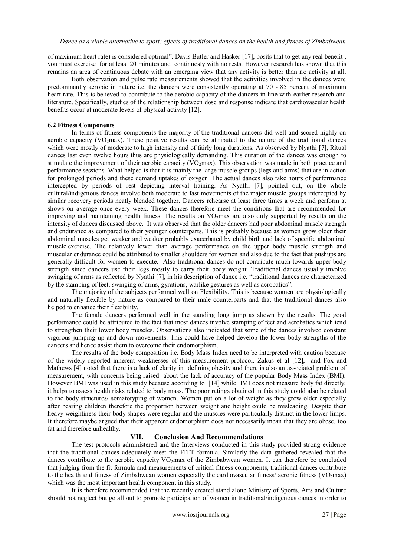of maximum heart rate) is considered optimal". Davis Butler and Hasker [17], posits that to get any real benefit , you must exercise for at least 20 minutes and continuosly with no rests. However research has shown that this remains an area of continuous debate with an emerging view that any activity is better than no activity at all.

Both observation and pulse rate measurements showed that the activities involved in the dances were predominantly aerobic in nature i.e. the dancers were consistently operating at 70 - 85 percent of maximum heart rate. This is believed to contribute to the aerobic capacity of the dancers in line with earlier research and literature. Specifically, studies of the relationship between dose and response indicate that cardiovascular health benefits occur at moderate levels of physical activity [12].

## **6.2 Fitness Components**

In terms of fitness components the majority of the traditional dancers did well and scored highly on aerobic capacity ( $VO<sub>2</sub>max$ ). These positive results can be attributed to the nature of the traditional dances which were mostly of moderate to high intensity and of fairly long durations. As observed by Nyathi [7], Ritual dances last even twelve hours thus are physiologically demanding. This duration of the dances was enough to stimulate the improvement of their aerobic capacity ( $VO<sub>2</sub>$ max). This observation was made in both practice and performance sessions. What helped is that it is mainly the large muscle groups (legs and arms) that are in action for prolonged periods and these demand uptakes of oxygen. The actual dances also take hours of performance intercepted by periods of rest depicting interval training. As Nyathi [7], pointed out, on the whole cultural/indigenous dances involve both moderate to fast movements of the major muscle groups intercepted by similar recovery periods neatly blended together. Dancers rehearse at least three times a week and perform at shows on average once every week. These dances therefore meet the conditions that are recommended for improving and maintaining health fitness. The results on VO<sub>2</sub>max are also duly supported by results on the intensity of dances discussed above. It was observed that the older dancers had poor abdominal muscle strength and endurance as compared to their younger counterparts. This is probably because as women grow older their abdominal muscles get weaker and weaker probably exacerbated by child birth and lack of specific abdominal muscle exercise. The relatively lower than average performance on the upper body muscle strength and muscular endurance could be attributed to smaller shoulders for women and also due to the fact that pushups are generally difficult for women to execute. Also traditional dances do not contribute much towards upper body strength since dancers use their legs mostly to carry their body weight. Traditional dances usually involve swinging of arms as reflected by Nyathi [7], in his description of dance i.e. "traditional dances are characterized by the stamping of feet, swinging of arms, gyrations, warlike gestures as well as acrobatics".

The majority of the subjects performed well on Flexibility. This is because women are physiologically and naturally flexible by nature as compared to their male counterparts and that the traditional dances also helped to enhance their flexibility.

The female dancers performed well in the standing long jump as shown by the results. The good performance could be attributed to the fact that most dances involve stamping of feet and acrobatics which tend to strengthen their lower body muscles. Observations also indicated that some of the dances involved constant vigorous jumping up and down movements. This could have helped develop the lower body strengths of the dancers and hence assist them to overcome their endomorphism.

The results of the body composition i.e. Body Mass Index need to be interpreted with caution because of the widely reported inherent weaknesses of this measurement protocol. Zakus et al [12], and Fox and Mathews [4] noted that there is a lack of clarity in defining obesity and there is also an associated problem of measurement, with concerns being raised about the lack of accuracy of the popular Body Mass Index (BMI). However BMI was used in this study because according to [14] while BMI does not measure body fat directly, it helps to assess health risks related to body mass. The poor ratings obtained in this study could also be related to the body structures/ somatotyping of women. Women put on a lot of weight as they grow older especially after bearing children therefore the proportion between weight and height could be misleading. Despite their heavy weightiness their body shapes were regular and the muscles were particularly distinct in the lower limps. It therefore maybe argued that their apparent endomorphism does not necessarily mean that they are obese, too fat and therefore unhealthy.

#### **VII. Conclusion And Recommendations**

The test protocols administered and the Interviews conducted in this study provided strong evidence that the traditional dances adequately meet the FITT formula. Similarly the data gathered revealed that the dances contribute to the aerobic capacity  $VO<sub>2</sub>max$  of the Zimbabwean women. It can therefore be concluded that judging from the fit formula and measurements of critical fitness components, traditional dances contribute to the health and fitness of Zimbabwean women especially the cardiovascular fitness/ aerobic fitness (VO<sub>2</sub>max) which was the most important health component in this study.

It is therefore recommended that the recently created stand alone Ministry of Sports, Arts and Culture should not neglect but go all out to promote participation of women in traditional/indigenous dances in order to